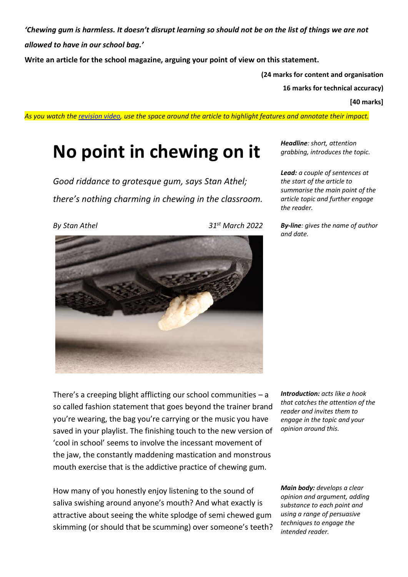*'Chewing gum is harmless. It doesn't disrupt learning so should not be on the list of things we are not allowed to have in our school bag.'*

**Write an article for the school magazine, arguing your point of view on this statement.**

**(24 marks for content and organisation**

**16 marks for technical accuracy)**

**[40 marks]**

*As you watch the [revision video,](https://www.youtube.com/watch?v=K6LKZ4ttDbw) use the space around the article to highlight features and annotate their impact.*

## **No point in chewing on it**

*Good riddance to grotesque gum, says Stan Athel; there's nothing charming in chewing in the classroom.*  *Headline: short, attention grabbing, introduces the topic.*

*Lead: a couple of sentences at the start of the article to summarise the main point of the article topic and further engage the reader.* 

*By-line: gives the name of author and date.*



*By Stan Athel 31st March 2022*



There's a creeping blight afflicting our school communities  $-$  a so called fashion statement that goes beyond the trainer brand you're wearing, the bag you're carrying or the music you have saved in your playlist. The finishing touch to the new version of 'cool in school' seems to involve the incessant movement of the jaw, the constantly maddening mastication and monstrous mouth exercise that is the addictive practice of chewing gum.

How many of you honestly enjoy listening to the sound of saliva swishing around anyone's mouth? And what exactly is attractive about seeing the white splodge of semi chewed gum skimming (or should that be scumming) over someone's teeth? *Introduction: acts like a hook that catches the attention of the reader and invites them to engage in the topic and your opinion around this.*

*Main body: develops a clear opinion and argument, adding substance to each point and using a range of persuasive techniques to engage the intended reader.*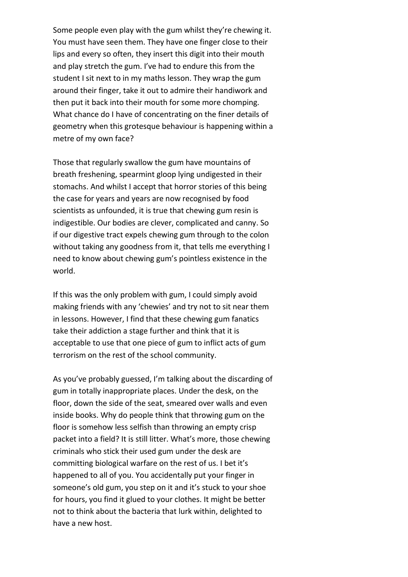Some people even play with the gum whilst they're chewing it. You must have seen them. They have one finger close to their lips and every so often, they insert this digit into their mouth and play stretch the gum. I've had to endure this from the student I sit next to in my maths lesson. They wrap the gum around their finger, take it out to admire their handiwork and then put it back into their mouth for some more chomping. What chance do I have of concentrating on the finer details of geometry when this grotesque behaviour is happening within a metre of my own face?

Those that regularly swallow the gum have mountains of breath freshening, spearmint gloop lying undigested in their stomachs. And whilst I accept that horror stories of this being the case for years and years are now recognised by food scientists as unfounded, it is true that chewing gum resin is indigestible. Our bodies are clever, complicated and canny. So if our digestive tract expels chewing gum through to the colon without taking any goodness from it, that tells me everything I need to know about chewing gum's pointless existence in the world.

If this was the only problem with gum, I could simply avoid making friends with any 'chewies' and try not to sit near them in lessons. However, I find that these chewing gum fanatics take their addiction a stage further and think that it is acceptable to use that one piece of gum to inflict acts of gum terrorism on the rest of the school community.

As you've probably guessed, I'm talking about the discarding of gum in totally inappropriate places. Under the desk, on the floor, down the side of the seat, smeared over walls and even inside books. Why do people think that throwing gum on the floor is somehow less selfish than throwing an empty crisp packet into a field? It is still litter. What's more, those chewing criminals who stick their used gum under the desk are committing biological warfare on the rest of us. I bet it's happened to all of you. You accidentally put your finger in someone's old gum, you step on it and it's stuck to your shoe for hours, you find it glued to your clothes. It might be better not to think about the bacteria that lurk within, delighted to have a new host.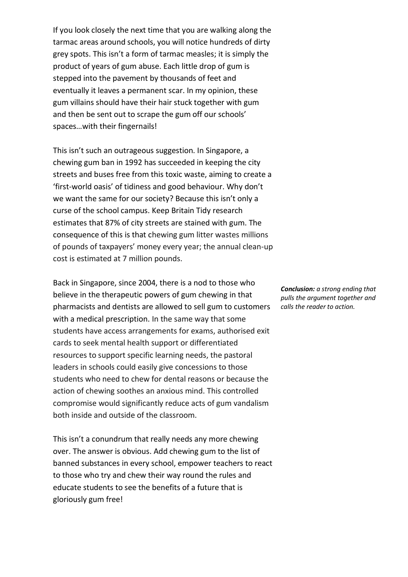If you look closely the next time that you are walking along the tarmac areas around schools, you will notice hundreds of dirty grey spots. This isn't a form of tarmac measles; it is simply the product of years of gum abuse. Each little drop of gum is stepped into the pavement by thousands of feet and eventually it leaves a permanent scar. In my opinion, these gum villains should have their hair stuck together with gum and then be sent out to scrape the gum off our schools' spaces…with their fingernails!

This isn't such an outrageous suggestion. In Singapore, a chewing gum ban in 1992 has succeeded in keeping the city streets and buses free from this toxic waste, aiming to create a 'first-world oasis' of tidiness and good behaviour. Why don't we want the same for our society? Because this isn't only a curse of the school campus. Keep Britain Tidy research estimates that 87% of city streets are stained with gum. The consequence of this is that chewing gum litter wastes millions of pounds of taxpayers' money every year; the annual clean-up cost is estimated at 7 million pounds.

Back in Singapore, since 2004, there is a nod to those who believe in the therapeutic powers of gum chewing in that pharmacists and dentists are allowed to sell gum to customers with a medical prescription. In the same way that some students have access arrangements for exams, authorised exit cards to seek mental health support or differentiated resources to support specific learning needs, the pastoral leaders in schools could easily give concessions to those students who need to chew for dental reasons or because the action of chewing soothes an anxious mind. This controlled compromise would significantly reduce acts of gum vandalism both inside and outside of the classroom.

This isn't a conundrum that really needs any more chewing over. The answer is obvious. Add chewing gum to the list of banned substances in every school, empower teachers to react to those who try and chew their way round the rules and educate students to see the benefits of a future that is gloriously gum free!

*Conclusion: a strong ending that pulls the argument together and calls the reader to action.*